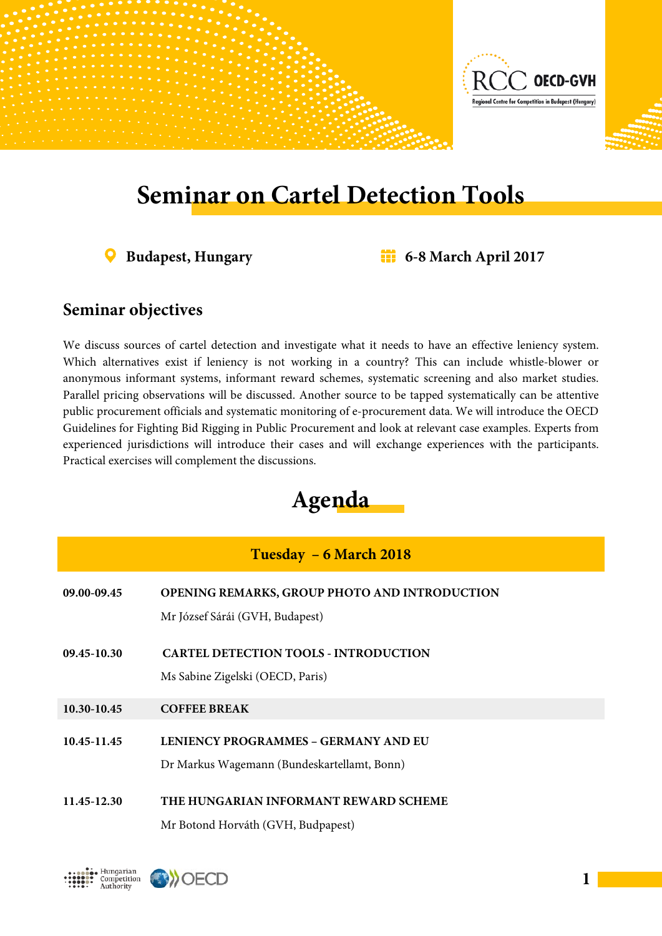

## **Seminar on Cartel Detection Tools**

**Budapest, Hungary 6-8 March April 2017**

## **Seminar objectives**

We discuss sources of cartel detection and investigate what it needs to have an effective leniency system. Which alternatives exist if leniency is not working in a country? This can include whistle-blower or anonymous informant systems, informant reward schemes, systematic screening and also market studies. Parallel pricing observations will be discussed. Another source to be tapped systematically can be attentive public procurement officials and systematic monitoring of e-procurement data. We will introduce the OECD Guidelines for Fighting Bid Rigging in Public Procurement and look at relevant case examples. Experts from experienced jurisdictions will introduce their cases and will exchange experiences with the participants. Practical exercises will complement the discussions.



## **Tuesday – 6 March 2018**

| 09.00-09.45 | OPENING REMARKS, GROUP PHOTO AND INTRODUCTION<br>Mr József Sárái (GVH, Budapest)    |
|-------------|-------------------------------------------------------------------------------------|
| 09.45-10.30 | <b>CARTEL DETECTION TOOLS - INTRODUCTION</b><br>Ms Sabine Zigelski (OECD, Paris)    |
| 10.30-10.45 | <b>COFFEE BREAK</b>                                                                 |
| 10.45-11.45 | LENIENCY PROGRAMMES - GERMANY AND EU<br>Dr Markus Wagemann (Bundeskartellamt, Bonn) |
| 11.45-12.30 | THE HUNGARIAN INFORMANT REWARD SCHEME<br>Mr Botond Horváth (GVH, Budpapest)         |

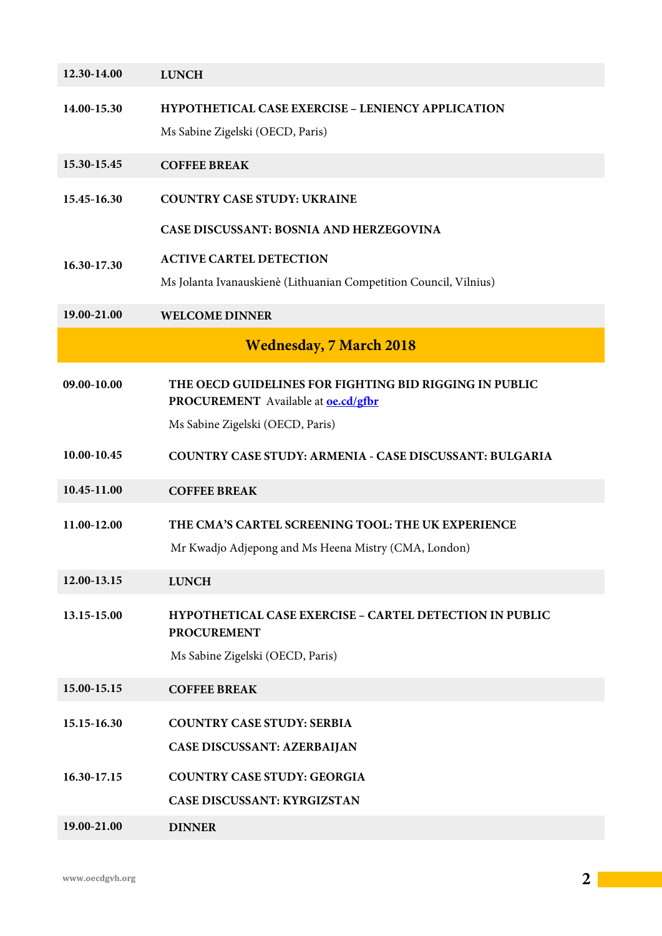| 12.30-14.00 | <b>LUNCH</b>                                                                                         |
|-------------|------------------------------------------------------------------------------------------------------|
| 14.00-15.30 | HYPOTHETICAL CASE EXERCISE - LENIENCY APPLICATION<br>Ms Sabine Zigelski (OECD, Paris)                |
| 15.30-15.45 | <b>COFFEE BREAK</b>                                                                                  |
| 15.45-16.30 | <b>COUNTRY CASE STUDY: UKRAINE</b>                                                                   |
|             | <b>CASE DISCUSSANT: BOSNIA AND HERZEGOVINA</b>                                                       |
| 16.30-17.30 | <b>ACTIVE CARTEL DETECTION</b>                                                                       |
|             | Ms Jolanta Ivanauskienè (Lithuanian Competition Council, Vilnius)                                    |
| 19.00-21.00 | <b>WELCOME DINNER</b>                                                                                |
|             | <b>Wednesday, 7 March 2018</b>                                                                       |
| 09.00-10.00 | THE OECD GUIDELINES FOR FIGHTING BID RIGGING IN PUBLIC<br>PROCUREMENT Available at <b>oe.cd/gfbr</b> |
|             | Ms Sabine Zigelski (OECD, Paris)                                                                     |
| 10.00-10.45 | <b>COUNTRY CASE STUDY: ARMENIA - CASE DISCUSSANT: BULGARIA</b>                                       |
| 10.45-11.00 | <b>COFFEE BREAK</b>                                                                                  |
| 11.00-12.00 | THE CMA'S CARTEL SCREENING TOOL: THE UK EXPERIENCE                                                   |
|             | Mr Kwadjo Adjepong and Ms Heena Mistry (CMA, London)                                                 |
| 12.00-13.15 | <b>LUNCH</b>                                                                                         |
| 13.15-15.00 | <b>HYPOTHETICAL CASE EXERCISE - CARTEL DETECTION IN PUBLIC</b><br><b>PROCUREMENT</b>                 |
|             | Ms Sabine Zigelski (OECD, Paris)                                                                     |
| 15.00-15.15 | <b>COFFEE BREAK</b>                                                                                  |
| 15.15-16.30 | <b>COUNTRY CASE STUDY: SERBIA</b>                                                                    |
|             | <b>CASE DISCUSSANT: AZERBAIJAN</b>                                                                   |
| 16.30-17.15 | <b>COUNTRY CASE STUDY: GEORGIA</b>                                                                   |
|             | <b>CASE DISCUSSANT: KYRGIZSTAN</b>                                                                   |
| 19.00-21.00 | <b>DINNER</b>                                                                                        |